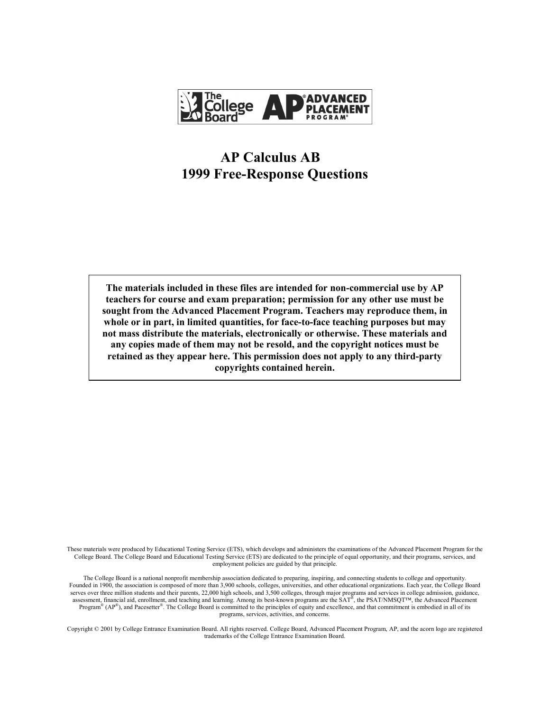

# **AP Calculus AB 1999 Free-Response Questions**

**The materials included in these files are intended for non-commercial use by AP teachers for course and exam preparation; permission for any other use must be sought from the Advanced Placement Program. Teachers may reproduce them, in whole or in part, in limited quantities, for face-to-face teaching purposes but may not mass distribute the materials, electronically or otherwise. These materials and any copies made of them may not be resold, and the copyright notices must be retained as they appear here. This permission does not apply to any third-party copyrights contained herein.** 

These materials were produced by Educational Testing Service (ETS), which develops and administers the examinations of the Advanced Placement Program for the College Board. The College Board and Educational Testing Service (ETS) are dedicated to the principle of equal opportunity, and their programs, services, and employment policies are guided by that principle.

The College Board is a national nonprofit membership association dedicated to preparing, inspiring, and connecting students to college and opportunity. Founded in 1900, the association is composed of more than 3,900 schools, colleges, universities, and other educational organizations. Each year, the College Board serves over three million students and their parents, 22,000 high schools, and 3,500 colleges, through major programs and services in college admission, guidance, assessment, financial aid, enrollment, and teaching and learning. Among its best-known programs are the SAT®, the PSAT/NMSQT™, the Advanced Placement Program®  $(AP^{\circledast})$ , and Pacesetter<sup>®</sup>. The College Board is committed to the principles of equity and excellence, and that commitment is embodied in all of its programs, services, activities, and concerns.

Copyright © 2001 by College Entrance Examination Board. All rights reserved. College Board, Advanced Placement Program, AP, and the acorn logo are registered trademarks of the College Entrance Examination Board.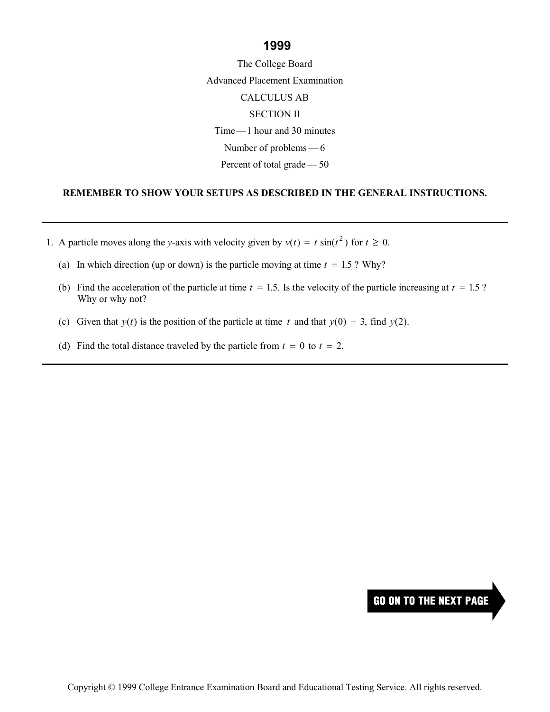### **1999**

The College Board Advanced Placement Examination CALCULUS AB SECTION II  $Time-1$  hour and 30 minutes Number of problems  $-6$ Percent of total grade  $-50$ 

#### **REMEMBER TO SHOW YOUR SETUPS AS DESCRIBED IN THE GENERAL INSTRUCTIONS.**

- 1. A particle moves along the *y*-axis with velocity given by  $v(t) = t \sin(t^2)$  for  $t \ge 0$ .
	- (a) In which direction (up or down) is the particle moving at time  $t = 1.5$ ? Why?
	- (b) Find the acceleration of the particle at time  $t = 1.5$ . Is the velocity of the particle increasing at  $t = 1.5$ ? Why or why not?
	- (c) Given that  $y(t)$  is the position of the particle at time t and that  $y(0) = 3$ , find  $y(2)$ .
	- (d) Find the total distance traveled by the particle from  $t = 0$  to  $t = 2$ .

### **GO ON TO THE NEXT PAGE**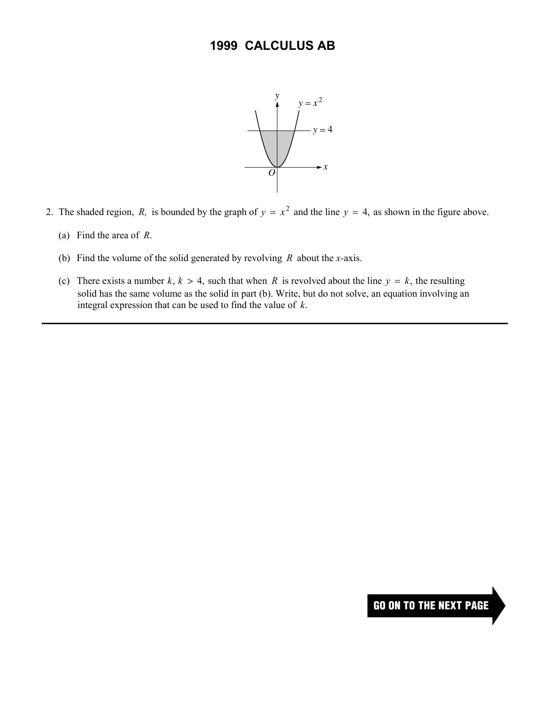

- 2. The shaded region, *R*, is bounded by the graph of  $y = x^2$  and the line  $y = 4$ , as shown in the figure above.
	- (a) Find the area of *R*.
	- (b) Find the volume of the solid generated by revolving *R* about the *x-*axis.
	- (c) There exists a number  $k, k > 4$ , such that when R is revolved about the line  $y = k$ , the resulting solid has the same volume as the solid in part (b). Write, but do not solve, an equation involving an integral expression that can be used to find the value of *k*.

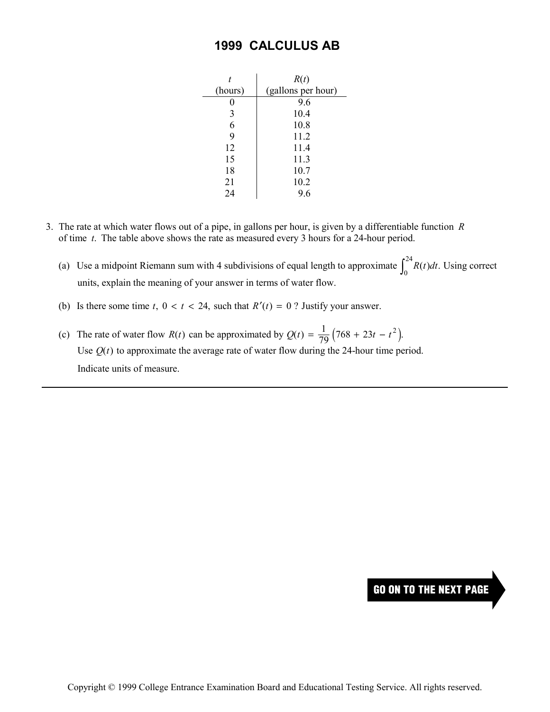### **1999 CALCULUS AB**

|         | R(t)               |
|---------|--------------------|
| (hours) | (gallons per hour) |
| 0       | 9.6                |
| 3       | 10.4               |
| 6       | 10.8               |
| 9       | 11.2               |
| 12      | 11.4               |
| 15      | 11.3               |
| 18      | 10.7               |
| 21      | 10.2               |
| 24      | 9.6                |

- 3. The rate at which water flows out of a pipe, in gallons per hour, is given by a differentiable function *R*  of time *t*. The table above shows the rate as measured every 3 hours for a 24-hour period.
	- (a) Use a midpoint Riemann sum with 4 subdivisions of equal length to approximate  $\int_0^{24} R(t) dt$ . Using correct units, explain the meaning of your answer in terms of water flow.
	- (b) Is there some time  $t$ ,  $0 < t < 24$ , such that  $R'(t) = 0$ ? Justify your answer.
	- (c) The rate of water flow  $R(t)$  can be approximated by  $Q(t) = \frac{1}{79} (768 + 23t t^2)$ . Use  $Q(t)$  to approximate the average rate of water flow during the 24-hour time period. Indicate units of measure.

## **GO ON TO THE NEXT PAGE**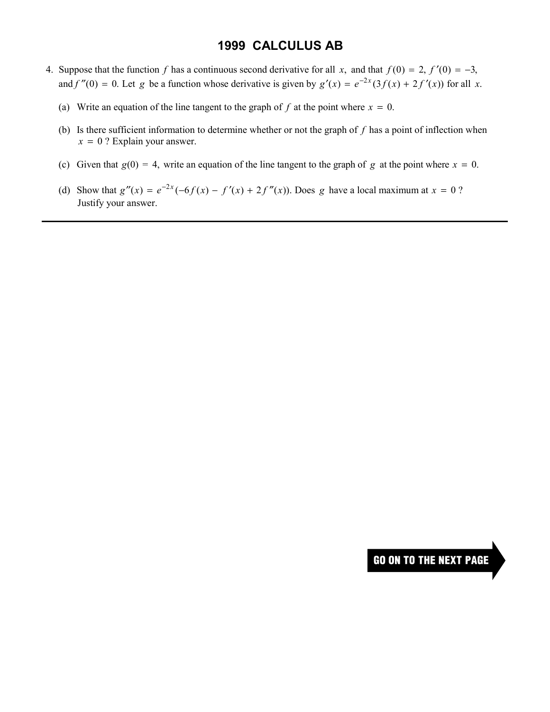### **1999 CALCULUS AB**

- 4. Suppose that the function f has a continuous second derivative for all x, and that  $f(0) = 2$ ,  $f'(0) = -3$ , and  $f''(0) = 0$ . Let *g* be a function whose derivative is given by  $g'(x) = e^{-2x}(3f(x) + 2f'(x))$  for all *x*.
	- (a) Write an equation of the line tangent to the graph of  $f$  at the point where  $x = 0$ .
	- (b) Is there sufficient information to determine whether or not the graph of *f* has a point of inflection when  $x = 0$  ? Explain your answer.
	- (c) Given that  $g(0) = 4$ , write an equation of the line tangent to the graph of *g* at the point where  $x = 0$ .
	- (d) Show that  $g''(x) = e^{-2x}(-6f(x) f'(x) + 2f''(x))$ . Does *g* have a local maximum at  $x = 0$  ? Justify your answer.

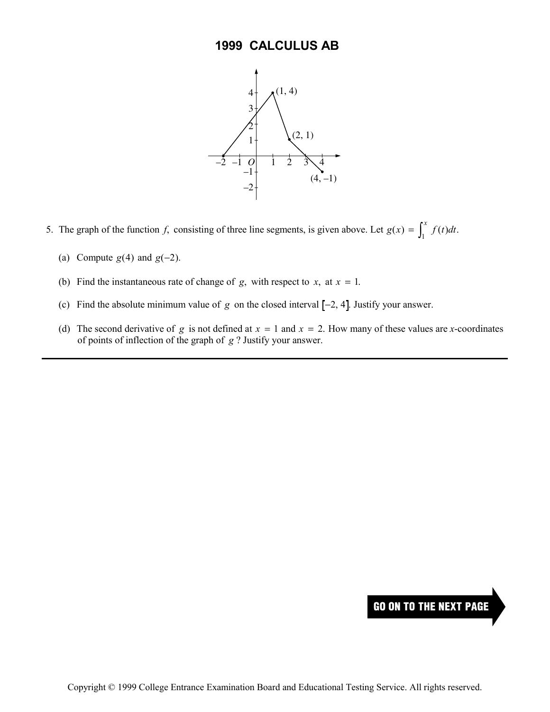

- 5. The graph of the function *f*, consisting of three line segments, is given above. Let  $g(x) = \int_0^x f(t)dt$  $f(x) = \int_{1}^{x} f(t)dt.$ 
	- (a) Compute  $g(4)$  and  $g(-2)$ .
	- (b) Find the instantaneous rate of change of *g*, with respect to *x*, at  $x = 1$ .
	- (c) Find the absolute minimum value of  $g$  on the closed interval  $[-2, 4]$ . Justify your answer.
	- (d) The second derivative of *g* is not defined at  $x = 1$  and  $x = 2$ . How many of these values are *x*-coordinates of points of inflection of the graph of *g* ? Justify your answer.

### **GO ON TO THE NEXT PAGE**